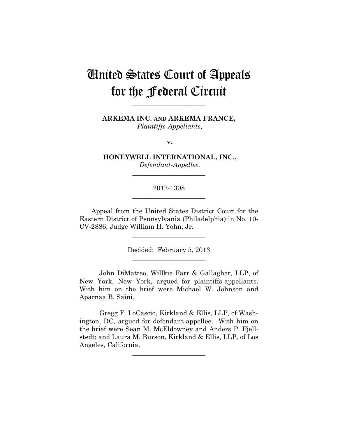# United States Court of Appeals for the Federal Circuit

**ARKEMA INC. AND ARKEMA FRANCE,** *Plaintiffs-Appellants,*

**\_\_\_\_\_\_\_\_\_\_\_\_\_\_\_\_\_\_\_\_\_\_** 

**v.**

**HONEYWELL INTERNATIONAL, INC.,** *Defendant-Appellee.*

**\_\_\_\_\_\_\_\_\_\_\_\_\_\_\_\_\_\_\_\_\_\_** 

2012-1308 **\_\_\_\_\_\_\_\_\_\_\_\_\_\_\_\_\_\_\_\_\_\_** 

Appeal from the United States District Court for the Eastern District of Pennsylvania (Philadelphia) in No. 10- CV-2886, Judge William H. Yohn, Jr.

> Decided: February 5, 2013 **\_\_\_\_\_\_\_\_\_\_\_\_\_\_\_\_\_\_\_\_\_\_**

**\_\_\_\_\_\_\_\_\_\_\_\_\_\_\_\_\_\_\_\_\_\_** 

John DiMatteo, Willkie Farr & Gallagher, LLP, of New York, New York, argued for plaintiffs-appellants. With him on the brief were Michael W. Johnson and Aparnaa B. Saini.

Gregg F. LoCascio, Kirkland & Ellis, LLP, of Washington, DC, argued for defendant-appellee. With him on the brief were Sean M. McEldowney and Anders P. Fjellstedt; and Laura M. Burson, Kirkland & Ellis, LLP, of Los Angeles, California.

**\_\_\_\_\_\_\_\_\_\_\_\_\_\_\_\_\_\_\_\_\_\_**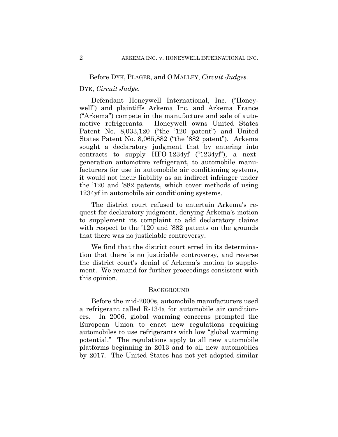## Before DYK, PLAGER, and O'MALLEY, *Circuit Judges.*

# DYK, *Circuit Judge*.

Defendant Honeywell International, Inc. ("Honeywell") and plaintiffs Arkema Inc. and Arkema France ("Arkema") compete in the manufacture and sale of automotive refrigerants. Honeywell owns United States Patent No. 8,033,120 ("the '120 patent") and United States Patent No. 8,065,882 ("the '882 patent"). Arkema sought a declaratory judgment that by entering into contracts to supply HFO-1234yf ("1234yf"), a nextgeneration automotive refrigerant, to automobile manufacturers for use in automobile air conditioning systems, it would not incur liability as an indirect infringer under the '120 and '882 patents, which cover methods of using 1234yf in automobile air conditioning systems.

The district court refused to entertain Arkema's request for declaratory judgment, denying Arkema's motion to supplement its complaint to add declaratory claims with respect to the '120 and '882 patents on the grounds that there was no justiciable controversy.

We find that the district court erred in its determination that there is no justiciable controversy, and reverse the district court's denial of Arkema's motion to supplement. We remand for further proceedings consistent with this opinion.

#### **BACKGROUND**

Before the mid-2000s, automobile manufacturers used a refrigerant called R-134a for automobile air conditioners. In 2006, global warming concerns prompted the European Union to enact new regulations requiring automobiles to use refrigerants with low "global warming potential." The regulations apply to all new automobile platforms beginning in 2013 and to all new automobiles by 2017. The United States has not yet adopted similar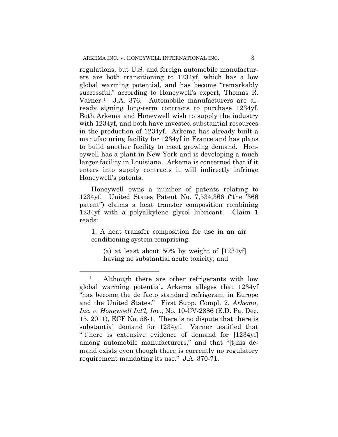regulations, but U.S. and foreign automobile manufacturers are both transitioning to 1234yf, which has a low global warming potential, and has become "remarkably successful," according to Honeywell's expert, Thomas R. Varner.1 J.A. 376. Automobile manufacturers are already signing long-term contracts to purchase 1234yf. Both Arkema and Honeywell wish to supply the industry with 1234yf, and both have invested substantial resources in the production of 1234yf. Arkema has already built a manufacturing facility for 1234yf in France and has plans to build another facility to meet growing demand. Honeywell has a plant in New York and is developing a much larger facility in Louisiana. Arkema is concerned that if it enters into supply contracts it will indirectly infringe Honeywell's patents.

Honeywell owns a number of patents relating to 1234yf. United States Patent No. 7,534,366 ("the '366 patent") claims a heat transfer composition combining 1234yf with a polyalkylene glycol lubricant. Claim 1 reads:

1. A heat transfer composition for use in an air conditioning system comprising:

 $\overline{a}$ 

(a) at least about 50% by weight of [1234yf] having no substantial acute toxicity; and

<sup>&</sup>lt;sup>1</sup> Although there are other refrigerants with low global warming potential**,** Arkema alleges that 1234yf "has become the de facto standard refrigerant in Europe and the United States." First Supp. Compl. 2, *Arkema, Inc. v. Honeywell Int'l, Inc.*, No. 10-CV-2886 (E.D. Pa. Dec. 15, 2011), ECF No. 58-1. There is no dispute that there is substantial demand for 1234yf. Varner testified that "[t]here is extensive evidence of demand for [1234yf] among automobile manufacturers," and that "[t]his demand exists even though there is currently no regulatory requirement mandating its use." J.A. 370-71.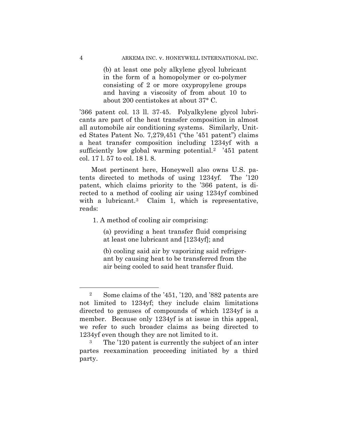(b) at least one poly alkylene glycol lubricant in the form of a homopolymer or co-polymer consisting of 2 or more oxypropylene groups and having a viscosity of from about 10 to about 200 centistokes at about 37° C.

'366 patent col. 13 ll. 37-45. Polyalkylene glycol lubricants are part of the heat transfer composition in almost all automobile air conditioning systems. Similarly, United States Patent No. 7,279,451 ("the '451 patent") claims a heat transfer composition including 1234yf with a sufficiently low global warming potential.<sup>2</sup> '451 patent col. 17 l. 57 to col. 18 l. 8.

Most pertinent here, Honeywell also owns U.S. patents directed to methods of using 1234yf. The '120 patent, which claims priority to the '366 patent, is directed to a method of cooling air using 1234yf combined with a lubricant.<sup>3</sup> Claim 1, which is representative, reads:

1. A method of cooling air comprising:

(a) providing a heat transfer fluid comprising at least one lubricant and [1234yf]; and

(b) cooling said air by vaporizing said refrigerant by causing heat to be transferred from the air being cooled to said heat transfer fluid.

<sup>2</sup> Some claims of the '451, '120, and '882 patents are not limited to 1234yf; they include claim limitations directed to genuses of compounds of which 1234yf is a member. Because only 1234yf is at issue in this appeal, we refer to such broader claims as being directed to 1234yf even though they are not limited to it.

The '120 patent is currently the subject of an inter partes reexamination proceeding initiated by a third party.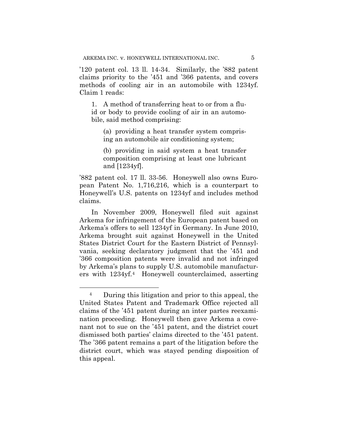'120 patent col. 13 ll. 14-34. Similarly, the '882 patent claims priority to the '451 and '366 patents, and covers methods of cooling air in an automobile with 1234yf. Claim 1 reads:

1. A method of transferring heat to or from a fluid or body to provide cooling of air in an automobile, said method comprising:

(a) providing a heat transfer system comprising an automobile air conditioning system;

(b) providing in said system a heat transfer composition comprising at least one lubricant and [1234yf].

'882 patent col. 17 ll. 33-56. Honeywell also owns European Patent No. 1,716,216, which is a counterpart to Honeywell's U.S. patents on 1234yf and includes method claims.

In November 2009, Honeywell filed suit against Arkema for infringement of the European patent based on Arkema's offers to sell 1234yf in Germany. In June 2010, Arkema brought suit against Honeywell in the United States District Court for the Eastern District of Pennsylvania, seeking declaratory judgment that the '451 and '366 composition patents were invalid and not infringed by Arkema's plans to supply U.S. automobile manufacturers with 1234yf.4 Honeywell counterclaimed, asserting

<sup>4</sup> During this litigation and prior to this appeal, the United States Patent and Trademark Office rejected all claims of the '451 patent during an inter partes reexamination proceeding. Honeywell then gave Arkema a covenant not to sue on the '451 patent, and the district court dismissed both parties' claims directed to the '451 patent. The '366 patent remains a part of the litigation before the district court, which was stayed pending disposition of this appeal.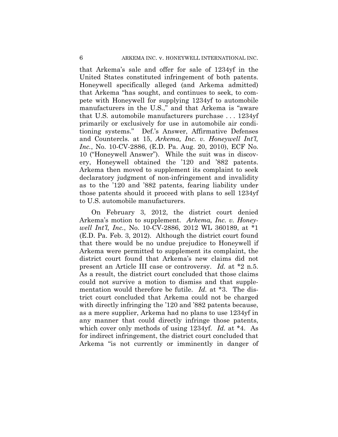that Arkema's sale and offer for sale of 1234yf in the United States constituted infringement of both patents. Honeywell specifically alleged (and Arkema admitted) that Arkema "has sought, and continues to seek, to compete with Honeywell for supplying 1234yf to automobile manufacturers in the U.S.," and that Arkema is "aware that U.S. automobile manufacturers purchase . . . 1234yf primarily or exclusively for use in automobile air conditioning systems." Def.'s Answer, Affirmative Defenses and Countercls. at 15, *Arkema, Inc. v. Honeywell Int'l, Inc.*, No. 10-CV-2886, (E.D. Pa. Aug. 20, 2010), ECF No. 10 ("Honeywell Answer"). While the suit was in discovery, Honeywell obtained the '120 and '882 patents. Arkema then moved to supplement its complaint to seek declaratory judgment of non-infringement and invalidity as to the '120 and '882 patents, fearing liability under those patents should it proceed with plans to sell 1234yf to U.S. automobile manufacturers.

On February 3, 2012, the district court denied Arkema's motion to supplement. *Arkema, Inc. v. Honeywell Int'l, Inc.*, No. 10-CV-2886, 2012 WL 360189, at \*1 (E.D. Pa. Feb. 3, 2012). Although the district court found that there would be no undue prejudice to Honeywell if Arkema were permitted to supplement its complaint, the district court found that Arkema's new claims did not present an Article III case or controversy. *Id.* at \*2 n.5. As a result, the district court concluded that those claims could not survive a motion to dismiss and that supplementation would therefore be futile. *Id.* at \*3. The district court concluded that Arkema could not be charged with directly infringing the '120 and '882 patents because, as a mere supplier, Arkema had no plans to use 1234yf in any manner that could directly infringe those patents, which cover only methods of using 1234yf. *Id.* at \*4. As for indirect infringement, the district court concluded that Arkema "is not currently or imminently in danger of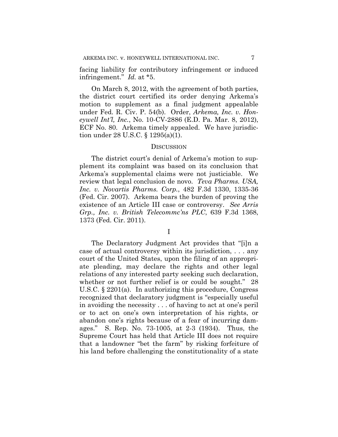facing liability for contributory infringement or induced infringement." *Id.* at \*5.

On March 8, 2012, with the agreement of both parties, the district court certified its order denying Arkema's motion to supplement as a final judgment appealable under Fed. R. Civ. P. 54(b). Order, *Arkema, Inc. v. Honeywell Int'l, Inc.*, No. 10-CV-2886 (E.D. Pa. Mar. 8, 2012), ECF No. 80. Arkema timely appealed. We have jurisdiction under 28 U.S.C. § 1295(a)(1).

## **DISCUSSION**

The district court's denial of Arkema's motion to supplement its complaint was based on its conclusion that Arkema's supplemental claims were not justiciable. We review that legal conclusion de novo. *Teva Pharms. USA, Inc. v. Novartis Pharms. Corp.*, 482 F.3d 1330, 1335-36 (Fed. Cir. 2007). Arkema bears the burden of proving the existence of an Article III case or controversy. *See Arris Grp., Inc. v. British Telecommc'ns PLC*, 639 F.3d 1368, 1373 (Fed. Cir. 2011).

The Declaratory Judgment Act provides that "[i]n a case of actual controversy within its jurisdiction, . . . any court of the United States, upon the filing of an appropriate pleading, may declare the rights and other legal relations of any interested party seeking such declaration, whether or not further relief is or could be sought." 28 U.S.C. § 2201(a). In authorizing this procedure, Congress recognized that declaratory judgment is "especially useful in avoiding the necessity . . . of having to act at one's peril or to act on one's own interpretation of his rights, or abandon one's rights because of a fear of incurring damages." S. Rep. No. 73-1005, at 2-3 (1934). Thus, the Supreme Court has held that Article III does not require that a landowner "bet the farm" by risking forfeiture of his land before challenging the constitutionality of a state

I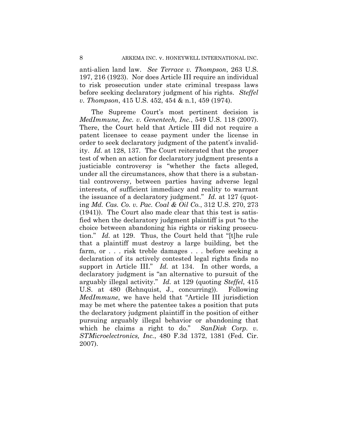anti-alien land law. *See Terrace v. Thompson*, 263 U.S. 197, 216 (1923). Nor does Article III require an individual to risk prosecution under state criminal trespass laws before seeking declaratory judgment of his rights. *Steffel v. Thompson*, 415 U.S. 452, 454 & n.1, 459 (1974).

The Supreme Court's most pertinent decision is *MedImmune, Inc. v. Genentech, Inc.*, 549 U.S. 118 (2007). There, the Court held that Article III did not require a patent licensee to cease payment under the license in order to seek declaratory judgment of the patent's invalidity. *Id.* at 128, 137. The Court reiterated that the proper test of when an action for declaratory judgment presents a justiciable controversy is "whether the facts alleged, under all the circumstances, show that there is a substantial controversy, between parties having adverse legal interests, of sufficient immediacy and reality to warrant the issuance of a declaratory judgment." *Id.* at 127 (quoting *Md. Cas. Co. v. Pac. Coal & Oil Co.*, 312 U.S. 270, 273 (1941)). The Court also made clear that this test is satisfied when the declaratory judgment plaintiff is put "to the choice between abandoning his rights or risking prosecution." *Id.* at 129. Thus, the Court held that "[t]he rule that a plaintiff must destroy a large building, bet the farm, or . . . risk treble damages . . . before seeking a declaration of its actively contested legal rights finds no support in Article III." *Id.* at 134. In other words, a declaratory judgment is "an alternative to pursuit of the arguably illegal activity." *Id.* at 129 (quoting *Steffel*, 415 U.S. at 480 (Rehnquist, J., concurring)). Following *MedImmune*, we have held that "Article III jurisdiction may be met where the patentee takes a position that puts the declaratory judgment plaintiff in the position of either pursuing arguably illegal behavior or abandoning that which he claims a right to do." *SanDisk Corp. v. STMicroelectronics, Inc.*, 480 F.3d 1372, 1381 (Fed. Cir. 2007).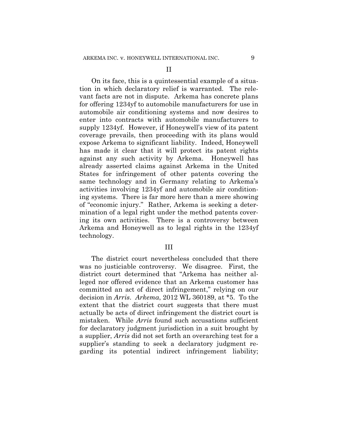II

On its face, this is a quintessential example of a situation in which declaratory relief is warranted. The relevant facts are not in dispute. Arkema has concrete plans for offering 1234yf to automobile manufacturers for use in automobile air conditioning systems and now desires to enter into contracts with automobile manufacturers to supply 1234yf. However, if Honeywell's view of its patent coverage prevails, then proceeding with its plans would expose Arkema to significant liability. Indeed, Honeywell has made it clear that it will protect its patent rights against any such activity by Arkema. Honeywell has already asserted claims against Arkema in the United States for infringement of other patents covering the same technology and in Germany relating to Arkema's activities involving 1234yf and automobile air conditioning systems. There is far more here than a mere showing of "economic injury." Rather, Arkema is seeking a determination of a legal right under the method patents covering its own activities. There is a controversy between Arkema and Honeywell as to legal rights in the 1234yf technology.

#### III

The district court nevertheless concluded that there was no justiciable controversy. We disagree. First, the district court determined that "Arkema has neither alleged nor offered evidence that an Arkema customer has committed an act of direct infringement," relying on our decision in *Arris*. *Arkema*, 2012 WL 360189, at \*5. To the extent that the district court suggests that there must actually be acts of direct infringement the district court is mistaken. While *Arris* found such accusations sufficient for declaratory judgment jurisdiction in a suit brought by a supplier, *Arris* did not set forth an overarching test for a supplier's standing to seek a declaratory judgment regarding its potential indirect infringement liability;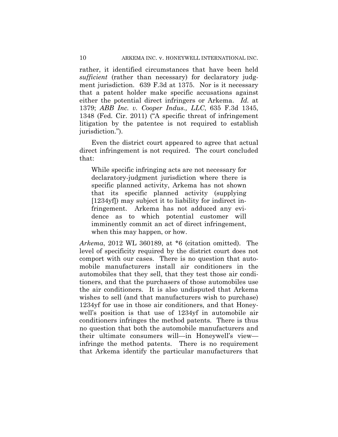rather, it identified circumstances that have been held *sufficient* (rather than necessary) for declaratory judgment jurisdiction. 639 F.3d at 1375. Nor is it necessary that a patent holder make specific accusations against either the potential direct infringers or Arkema. *Id.* at 1379; *ABB Inc. v. Cooper Indus., LLC*, 635 F.3d 1345, 1348 (Fed. Cir. 2011) ("A specific threat of infringement litigation by the patentee is not required to establish jurisdiction.").

Even the district court appeared to agree that actual direct infringement is not required. The court concluded that:

While specific infringing acts are not necessary for declaratory-judgment jurisdiction where there is specific planned activity, Arkema has not shown that its specific planned activity (supplying [1234yf]) may subject it to liability for indirect infringement. Arkema has not adduced any evidence as to which potential customer will imminently commit an act of direct infringement, when this may happen, or how.

*Arkema*, 2012 WL 360189, at \*6 (citation omitted). The level of specificity required by the district court does not comport with our cases. There is no question that automobile manufacturers install air conditioners in the automobiles that they sell, that they test those air conditioners, and that the purchasers of those automobiles use the air conditioners. It is also undisputed that Arkema wishes to sell (and that manufacturers wish to purchase) 1234yf for use in those air conditioners, and that Honeywell's position is that use of 1234yf in automobile air conditioners infringes the method patents. There is thus no question that both the automobile manufacturers and their ultimate consumers will—in Honeywell's view infringe the method patents. There is no requirement that Arkema identify the particular manufacturers that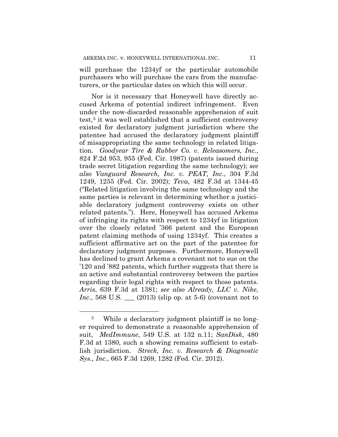will purchase the 1234yf or the particular automobile purchasers who will purchase the cars from the manufacturers, or the particular dates on which this will occur.

Nor is it necessary that Honeywell have directly accused Arkema of potential indirect infringement. Even under the now-discarded reasonable apprehension of suit test,5 it was well established that a sufficient controversy existed for declaratory judgment jurisdiction where the patentee had accused the declaratory judgment plaintiff of misappropriating the same technology in related litigation. *Goodyear Tire & Rubber Co. v. Releasomers, Inc.*, 824 F.2d 953, 955 (Fed. Cir. 1987) (patents issued during trade secret litigation regarding the same technology); *see also Vanguard Research, Inc. v. PEAT, Inc.*, 304 F.3d 1249, 1255 (Fed. Cir. 2002); *Teva*, 482 F.3d at 1344-45 ("Related litigation involving the same technology and the same parties is relevant in determining whether a justiciable declaratory judgment controversy exists on other related patents."). Here, Honeywell has accused Arkema of infringing its rights with respect to 1234yf in litigation over the closely related '366 patent and the European patent claiming methods of using 1234yf. This creates a sufficient affirmative act on the part of the patentee for declaratory judgment purposes. Furthermore, Honeywell has declined to grant Arkema a covenant not to sue on the '120 and '882 patents, which further suggests that there is an active and substantial controversy between the parties regarding their legal rights with respect to those patents. *Arris*, 639 F.3d at 1381; *see also Already, LLC v. Nike, Inc.*, 568 U.S. <u>\_\_\_</u> (2013) (slip op. at 5-6) (covenant not to

<sup>5</sup> While a declaratory judgment plaintiff is no longer required to demonstrate a reasonable apprehension of suit, *MedImmune*, 549 U.S. at 132 n.11; *SanDisk*, 480 F.3d at 1380, such a showing remains sufficient to establish jurisdiction. *Streck, Inc. v. Research & Diagnostic Sys., Inc.*, 665 F.3d 1269, 1282 (Fed. Cir. 2012).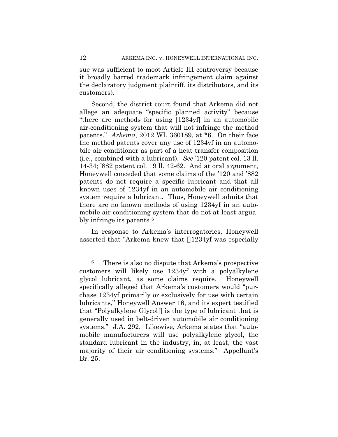sue was sufficient to moot Article III controversy because it broadly barred trademark infringement claim against the declaratory judgment plaintiff, its distributors, and its customers).

Second, the district court found that Arkema did not allege an adequate "specific planned activity" because "there are methods for using [1234yf] in an automobile air-conditioning system that will not infringe the method patents." *Arkema*, 2012 WL 360189, at \*6. On their face the method patents cover any use of 1234yf in an automobile air conditioner as part of a heat transfer composition (i.e., combined with a lubricant). *See* '120 patent col. 13 ll. 14-34; '882 patent col. 19 ll. 42-62. And at oral argument, Honeywell conceded that some claims of the '120 and '882 patents do not require a specific lubricant and that all known uses of 1234yf in an automobile air conditioning system require a lubricant. Thus, Honeywell admits that there are no known methods of using 1234yf in an automobile air conditioning system that do not at least arguably infringe its patents.<sup>6</sup>

In response to Arkema's interrogatories, Honeywell asserted that "Arkema knew that  $\lceil 1234 \text{yf} \rceil$  was especially

<sup>6</sup> There is also no dispute that Arkema's prospective customers will likely use 1234yf with a polyalkylene glycol lubricant, as some claims require. Honeywell specifically alleged that Arkema's customers would "purchase 1234yf primarily or exclusively for use with certain lubricants," Honeywell Answer 16, and its expert testified that "Polyalkylene Glycol[] is the type of lubricant that is generally used in belt-driven automobile air conditioning systems." J.A. 292. Likewise, Arkema states that "automobile manufacturers will use polyalkylene glycol, the standard lubricant in the industry, in, at least, the vast majority of their air conditioning systems." Appellant's Br. 25.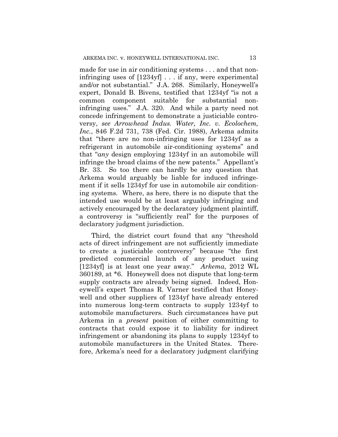made for use in air conditioning systems . . . and that noninfringing uses of [1234yf] . . . if any, were experimental and/or not substantial." J.A. 268. Similarly, Honeywell's expert, Donald B. Bivens, testified that 1234yf "is not a common component suitable for substantial noninfringing uses." J.A. 320. And while a party need not concede infringement to demonstrate a justiciable controversy, *see Arrowhead Indus. Water, Inc. v. Ecolochem, Inc.*, 846 F.2d 731, 738 (Fed. Cir. 1988), Arkema admits that "there are no non-infringing uses for 1234yf as a refrigerant in automobile air-conditioning systems" and that "*any* design employing 1234yf in an automobile will infringe the broad claims of the new patents." Appellant's Br. 33. So too there can hardly be any question that Arkema would arguably be liable for induced infringement if it sells 1234yf for use in automobile air conditioning systems. Where, as here, there is no dispute that the intended use would be at least arguably infringing and actively encouraged by the declaratory judgment plaintiff, a controversy is "sufficiently real" for the purposes of declaratory judgment jurisdiction.

Third, the district court found that any "threshold acts of direct infringement are not sufficiently immediate to create a justiciable controversy" because "the first predicted commercial launch of any product using [1234yf] is at least one year away." *Arkema*, 2012 WL 360189, at \*6. Honeywell does not dispute that long-term supply contracts are already being signed. Indeed, Honeywell's expert Thomas R. Varner testified that Honeywell and other suppliers of 1234yf have already entered into numerous long-term contracts to supply 1234yf to automobile manufacturers. Such circumstances have put Arkema in a *present* position of either committing to contracts that could expose it to liability for indirect infringement or abandoning its plans to supply 1234yf to automobile manufacturers in the United States. Therefore, Arkema's need for a declaratory judgment clarifying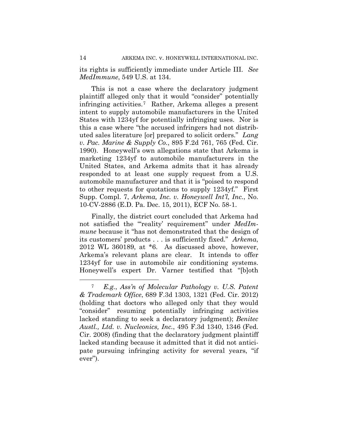its rights is sufficiently immediate under Article III. *See MedImmune*, 549 U.S. at 134.

This is not a case where the declaratory judgment plaintiff alleged only that it would "consider" potentially infringing activities.7 Rather, Arkema alleges a present intent to supply automobile manufacturers in the United States with 1234yf for potentially infringing uses. Nor is this a case where "the accused infringers had not distributed sales literature [or] prepared to solicit orders." *Lang v. Pac. Marine & Supply Co.*, 895 F.2d 761, 765 (Fed. Cir. 1990). Honeywell's own allegations state that Arkema is marketing 1234yf to automobile manufacturers in the United States, and Arkema admits that it has already responded to at least one supply request from a U.S. automobile manufacturer and that it is "poised to respond to other requests for quotations to supply 1234yf." First Supp. Compl. 7, *Arkema, Inc. v. Honeywell Int'l, Inc.*, No. 10-CV-2886 (E.D. Pa. Dec. 15, 2011), ECF No. 58-1.

Finally, the district court concluded that Arkema had not satisfied the "'reality' requirement" under *MedImmune* because it "has not demonstrated that the design of its customers' products . . . is sufficiently fixed." *Arkema*, 2012 WL 360189, at \*6. As discussed above, however, Arkema's relevant plans are clear. It intends to offer 1234yf for use in automobile air conditioning systems. Honeywell's expert Dr. Varner testified that "[b]oth

<sup>7</sup> *E.g.*, *Ass'n of Molecular Pathology v. U.S. Patent & Trademark Office*, 689 F.3d 1303, 1321 (Fed. Cir. 2012) (holding that doctors who alleged only that they would "consider" resuming potentially infringing activities lacked standing to seek a declaratory judgment); *Benitec Austl., Ltd. v. Nucleonics, Inc.*, 495 F.3d 1340, 1346 (Fed. Cir. 2008) (finding that the declaratory judgment plaintiff lacked standing because it admitted that it did not anticipate pursuing infringing activity for several years, "if ever").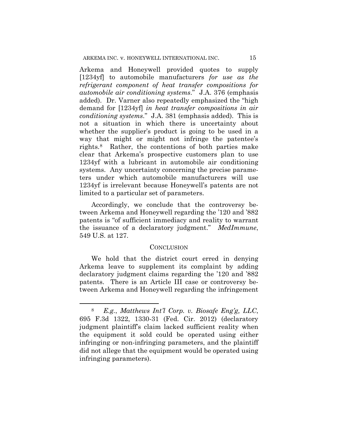Arkema and Honeywell provided quotes to supply [1234yf] to automobile manufacturers *for use as the refrigerant component of heat transfer compositions for automobile air conditioning systems*." J.A. 376 (emphasis added). Dr. Varner also repeatedly emphasized the "high demand for [1234yf] *in heat transfer compositions in air conditioning systems*." J.A. 381 (emphasis added). This is not a situation in which there is uncertainty about whether the supplier's product is going to be used in a way that might or might not infringe the patentee's rights.8 Rather, the contentions of both parties make clear that Arkema's prospective customers plan to use 1234yf with a lubricant in automobile air conditioning systems. Any uncertainty concerning the precise parameters under which automobile manufacturers will use 1234yf is irrelevant because Honeywell's patents are not limited to a particular set of parameters.

Accordingly, we conclude that the controversy between Arkema and Honeywell regarding the '120 and '882 patents is "of sufficient immediacy and reality to warrant the issuance of a declaratory judgment." *MedImmune*, 549 U.S. at 127.

#### CONCLUSION

We hold that the district court erred in denying Arkema leave to supplement its complaint by adding declaratory judgment claims regarding the '120 and '882 patents. There is an Article III case or controversy between Arkema and Honeywell regarding the infringement

<sup>8</sup> *E.g.*, *Matthews Int'l Corp. v. Biosafe Eng'g, LLC*, 695 F.3d 1322, 1330-31 (Fed. Cir. 2012) (declaratory judgment plaintiff's claim lacked sufficient reality when the equipment it sold could be operated using either infringing or non-infringing parameters, and the plaintiff did not allege that the equipment would be operated using infringing parameters).